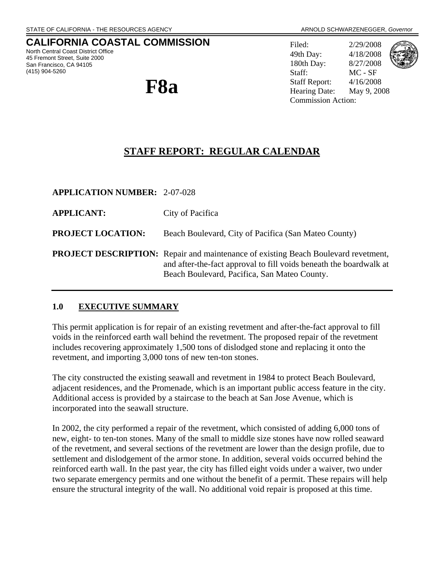# **CALIFORNIA COASTAL COMMISSION**

North Central Coast District Office 45 Fremont Street, Suite 2000 San Francisco, CA 94105 (415) 904-5260



Filed: 2/29/2008 49th Day: 4/18/2008 180th Day: 8/27/2008 Staff: MC - SF Staff Report: 4/16/2008 Hearing Date: May 9, 2008 Commission Action:



# **STAFF REPORT: REGULAR CALENDAR**

| <b>APPLICATION NUMBER: 2-07-028</b> |                                                                                                                                                                                                                 |
|-------------------------------------|-----------------------------------------------------------------------------------------------------------------------------------------------------------------------------------------------------------------|
| <b>APPLICANT:</b>                   | City of Pacifica                                                                                                                                                                                                |
| <b>PROJECT LOCATION:</b>            | Beach Boulevard, City of Pacifica (San Mateo County)                                                                                                                                                            |
|                                     | <b>PROJECT DESCRIPTION:</b> Repair and maintenance of existing Beach Boulevard revetment,<br>and after-the-fact approval to fill voids beneath the boardwalk at<br>Beach Boulevard, Pacifica, San Mateo County. |

### **1.0 EXECUTIVE SUMMARY**

This permit application is for repair of an existing revetment and after-the-fact approval to fill voids in the reinforced earth wall behind the revetment. The proposed repair of the revetment includes recovering approximately 1,500 tons of dislodged stone and replacing it onto the revetment, and importing 3,000 tons of new ten-ton stones.

The city constructed the existing seawall and revetment in 1984 to protect Beach Boulevard, adjacent residences, and the Promenade, which is an important public access feature in the city. Additional access is provided by a staircase to the beach at San Jose Avenue, which is incorporated into the seawall structure.

In 2002, the city performed a repair of the revetment, which consisted of adding 6,000 tons of new, eight- to ten-ton stones. Many of the small to middle size stones have now rolled seaward of the revetment, and several sections of the revetment are lower than the design profile, due to settlement and dislodgement of the armor stone. In addition, several voids occurred behind the reinforced earth wall. In the past year, the city has filled eight voids under a waiver, two under two separate emergency permits and one without the benefit of a permit. These repairs will help ensure the structural integrity of the wall. No additional void repair is proposed at this time.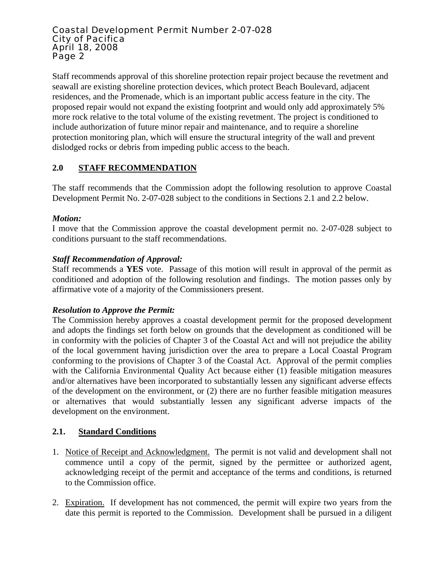Staff recommends approval of this shoreline protection repair project because the revetment and seawall are existing shoreline protection devices, which protect Beach Boulevard, adjacent residences, and the Promenade, which is an important public access feature in the city. The proposed repair would not expand the existing footprint and would only add approximately 5% more rock relative to the total volume of the existing revetment. The project is conditioned to include authorization of future minor repair and maintenance, and to require a shoreline protection monitoring plan, which will ensure the structural integrity of the wall and prevent dislodged rocks or debris from impeding public access to the beach.

# **2.0 STAFF RECOMMENDATION**

The staff recommends that the Commission adopt the following resolution to approve Coastal Development Permit No. 2-07-028 subject to the conditions in Sections 2.1 and 2.2 below.

### *Motion:*

I move that the Commission approve the coastal development permit no. 2-07-028 subject to conditions pursuant to the staff recommendations.

### *Staff Recommendation of Approval:*

Staff recommends a **YES** vote. Passage of this motion will result in approval of the permit as conditioned and adoption of the following resolution and findings. The motion passes only by affirmative vote of a majority of the Commissioners present.

### *Resolution to Approve the Permit:*

The Commission hereby approves a coastal development permit for the proposed development and adopts the findings set forth below on grounds that the development as conditioned will be in conformity with the policies of Chapter 3 of the Coastal Act and will not prejudice the ability of the local government having jurisdiction over the area to prepare a Local Coastal Program conforming to the provisions of Chapter 3 of the Coastal Act. Approval of the permit complies with the California Environmental Quality Act because either (1) feasible mitigation measures and/or alternatives have been incorporated to substantially lessen any significant adverse effects of the development on the environment, or (2) there are no further feasible mitigation measures or alternatives that would substantially lessen any significant adverse impacts of the development on the environment.

### **2.1. Standard Conditions**

- 1. Notice of Receipt and Acknowledgment. The permit is not valid and development shall not commence until a copy of the permit, signed by the permittee or authorized agent, acknowledging receipt of the permit and acceptance of the terms and conditions, is returned to the Commission office.
- 2. Expiration. If development has not commenced, the permit will expire two years from the date this permit is reported to the Commission. Development shall be pursued in a diligent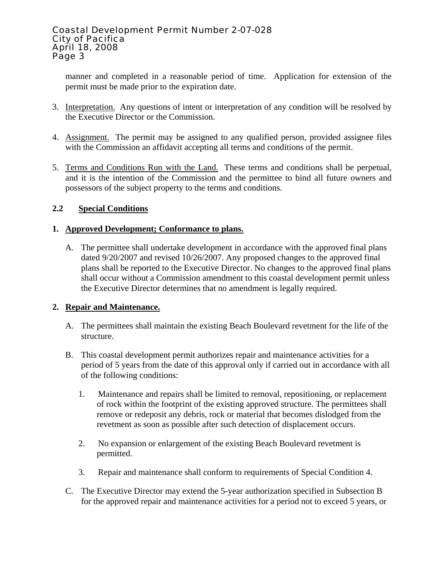manner and completed in a reasonable period of time. Application for extension of the permit must be made prior to the expiration date.

- 3. Interpretation. Any questions of intent or interpretation of any condition will be resolved by the Executive Director or the Commission.
- 4. Assignment. The permit may be assigned to any qualified person, provided assignee files with the Commission an affidavit accepting all terms and conditions of the permit.
- 5. Terms and Conditions Run with the Land. These terms and conditions shall be perpetual, and it is the intention of the Commission and the permittee to bind all future owners and possessors of the subject property to the terms and conditions.

### **2.2 Special Conditions**

### **1. Approved Development; Conformance to plans.**

A. The permittee shall undertake development in accordance with the approved final plans dated 9/20/2007 and revised 10/26/2007. Any proposed changes to the approved final plans shall be reported to the Executive Director. No changes to the approved final plans shall occur without a Commission amendment to this coastal development permit unless the Executive Director determines that no amendment is legally required.

### **2. Repair and Maintenance.**

- A. The permittees shall maintain the existing Beach Boulevard revetment for the life of the structure.
- B. This coastal development permit authorizes repair and maintenance activities for a period of 5 years from the date of this approval only if carried out in accordance with all of the following conditions:
	- 1. Maintenance and repairs shall be limited to removal, repositioning, or replacement of rock within the footprint of the existing approved structure. The permittees shall remove or redeposit any debris, rock or material that becomes dislodged from the revetment as soon as possible after such detection of displacement occurs.
	- 2. No expansion or enlargement of the existing Beach Boulevard revetment is permitted.
	- 3. Repair and maintenance shall conform to requirements of Special Condition 4.
- C. The Executive Director may extend the 5-year authorization specified in Subsection B for the approved repair and maintenance activities for a period not to exceed 5 years, or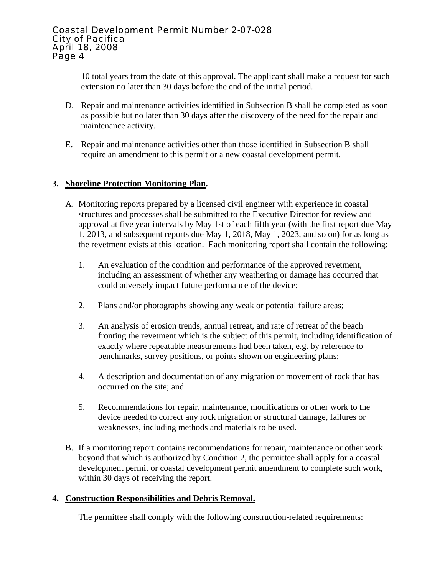10 total years from the date of this approval. The applicant shall make a request for such extension no later than 30 days before the end of the initial period.

- D. Repair and maintenance activities identified in Subsection B shall be completed as soon as possible but no later than 30 days after the discovery of the need for the repair and maintenance activity.
- E. Repair and maintenance activities other than those identified in Subsection B shall require an amendment to this permit or a new coastal development permit.

### **3. Shoreline Protection Monitoring Plan.**

- A. Monitoring reports prepared by a licensed civil engineer with experience in coastal structures and processes shall be submitted to the Executive Director for review and approval at five year intervals by May 1st of each fifth year (with the first report due May 1, 2013, and subsequent reports due May 1, 2018, May 1, 2023, and so on) for as long as the revetment exists at this location. Each monitoring report shall contain the following:
	- 1. An evaluation of the condition and performance of the approved revetment, including an assessment of whether any weathering or damage has occurred that could adversely impact future performance of the device;
	- 2. Plans and/or photographs showing any weak or potential failure areas;
	- 3. An analysis of erosion trends, annual retreat, and rate of retreat of the beach fronting the revetment which is the subject of this permit, including identification of exactly where repeatable measurements had been taken, e.g. by reference to benchmarks, survey positions, or points shown on engineering plans;
	- 4. A description and documentation of any migration or movement of rock that has occurred on the site; and
	- 5. Recommendations for repair, maintenance, modifications or other work to the device needed to correct any rock migration or structural damage, failures or weaknesses, including methods and materials to be used.
- B. If a monitoring report contains recommendations for repair, maintenance or other work beyond that which is authorized by Condition 2, the permittee shall apply for a coastal development permit or coastal development permit amendment to complete such work, within 30 days of receiving the report.

### **4. Construction Responsibilities and Debris Removal.**

The permittee shall comply with the following construction-related requirements: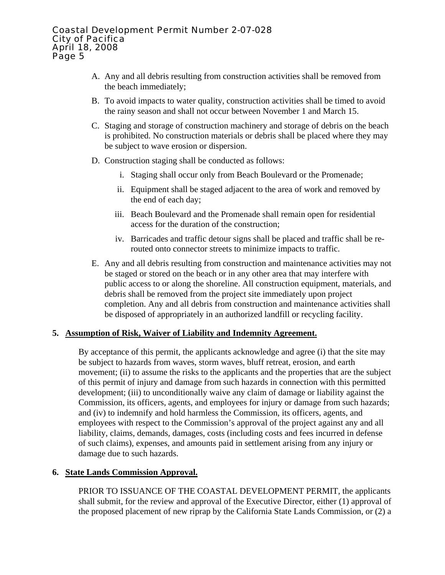- A. Any and all debris resulting from construction activities shall be removed from the beach immediately;
- B. To avoid impacts to water quality, construction activities shall be timed to avoid the rainy season and shall not occur between November 1 and March 15.
- C. Staging and storage of construction machinery and storage of debris on the beach is prohibited. No construction materials or debris shall be placed where they may be subject to wave erosion or dispersion.
- D. Construction staging shall be conducted as follows:
	- i. Staging shall occur only from Beach Boulevard or the Promenade;
	- ii. Equipment shall be staged adjacent to the area of work and removed by the end of each day;
	- iii. Beach Boulevard and the Promenade shall remain open for residential access for the duration of the construction;
	- iv. Barricades and traffic detour signs shall be placed and traffic shall be rerouted onto connector streets to minimize impacts to traffic.
- E. Any and all debris resulting from construction and maintenance activities may not be staged or stored on the beach or in any other area that may interfere with public access to or along the shoreline. All construction equipment, materials, and debris shall be removed from the project site immediately upon project completion. Any and all debris from construction and maintenance activities shall be disposed of appropriately in an authorized landfill or recycling facility.

### **5. Assumption of Risk, Waiver of Liability and Indemnity Agreement.**

By acceptance of this permit, the applicants acknowledge and agree (i) that the site may be subject to hazards from waves, storm waves, bluff retreat, erosion, and earth movement; (ii) to assume the risks to the applicants and the properties that are the subject of this permit of injury and damage from such hazards in connection with this permitted development; (iii) to unconditionally waive any claim of damage or liability against the Commission, its officers, agents, and employees for injury or damage from such hazards; and (iv) to indemnify and hold harmless the Commission, its officers, agents, and employees with respect to the Commission's approval of the project against any and all liability, claims, demands, damages, costs (including costs and fees incurred in defense of such claims), expenses, and amounts paid in settlement arising from any injury or damage due to such hazards.

### **6. State Lands Commission Approval.**

PRIOR TO ISSUANCE OF THE COASTAL DEVELOPMENT PERMIT, the applicants shall submit, for the review and approval of the Executive Director, either (1) approval of the proposed placement of new riprap by the California State Lands Commission, or (2) a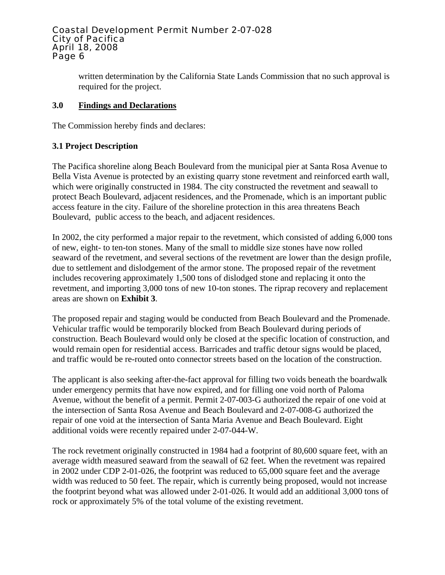written determination by the California State Lands Commission that no such approval is required for the project.

### **3.0 Findings and Declarations**

The Commission hereby finds and declares:

# **3.1 Project Description**

The Pacifica shoreline along Beach Boulevard from the municipal pier at Santa Rosa Avenue to Bella Vista Avenue is protected by an existing quarry stone revetment and reinforced earth wall, which were originally constructed in 1984. The city constructed the revetment and seawall to protect Beach Boulevard, adjacent residences, and the Promenade, which is an important public access feature in the city. Failure of the shoreline protection in this area threatens Beach Boulevard, public access to the beach, and adjacent residences.

In 2002, the city performed a major repair to the revetment, which consisted of adding 6,000 tons of new, eight- to ten-ton stones. Many of the small to middle size stones have now rolled seaward of the revetment, and several sections of the revetment are lower than the design profile, due to settlement and dislodgement of the armor stone. The proposed repair of the revetment includes recovering approximately 1,500 tons of dislodged stone and replacing it onto the revetment, and importing 3,000 tons of new 10-ton stones. The riprap recovery and replacement areas are shown on **Exhibit 3**.

The proposed repair and staging would be conducted from Beach Boulevard and the Promenade. Vehicular traffic would be temporarily blocked from Beach Boulevard during periods of construction. Beach Boulevard would only be closed at the specific location of construction, and would remain open for residential access. Barricades and traffic detour signs would be placed, and traffic would be re-routed onto connector streets based on the location of the construction.

The applicant is also seeking after-the-fact approval for filling two voids beneath the boardwalk under emergency permits that have now expired, and for filling one void north of Paloma Avenue, without the benefit of a permit. Permit 2-07-003-G authorized the repair of one void at the intersection of Santa Rosa Avenue and Beach Boulevard and 2-07-008-G authorized the repair of one void at the intersection of Santa Maria Avenue and Beach Boulevard. Eight additional voids were recently repaired under 2-07-044-W.

The rock revetment originally constructed in 1984 had a footprint of 80,600 square feet, with an average width measured seaward from the seawall of 62 feet. When the revetment was repaired in 2002 under CDP 2-01-026, the footprint was reduced to 65,000 square feet and the average width was reduced to 50 feet. The repair, which is currently being proposed, would not increase the footprint beyond what was allowed under 2-01-026. It would add an additional 3,000 tons of rock or approximately 5% of the total volume of the existing revetment.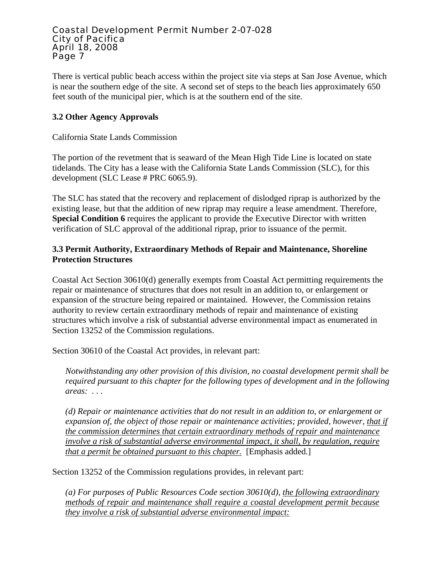There is vertical public beach access within the project site via steps at San Jose Avenue, which is near the southern edge of the site. A second set of steps to the beach lies approximately 650 feet south of the municipal pier, which is at the southern end of the site.

## **3.2 Other Agency Approvals**

### California State Lands Commission

The portion of the revetment that is seaward of the Mean High Tide Line is located on state tidelands. The City has a lease with the California State Lands Commission (SLC), for this development (SLC Lease # PRC 6065.9).

The SLC has stated that the recovery and replacement of dislodged riprap is authorized by the existing lease, but that the addition of new riprap may require a lease amendment. Therefore, **Special Condition 6** requires the applicant to provide the Executive Director with written verification of SLC approval of the additional riprap, prior to issuance of the permit.

## **3.3 Permit Authority, Extraordinary Methods of Repair and Maintenance, Shoreline Protection Structures**

Coastal Act Section 30610(d) generally exempts from Coastal Act permitting requirements the repair or maintenance of structures that does not result in an addition to, or enlargement or expansion of the structure being repaired or maintained. However, the Commission retains authority to review certain extraordinary methods of repair and maintenance of existing structures which involve a risk of substantial adverse environmental impact as enumerated in Section 13252 of the Commission regulations.

Section 30610 of the Coastal Act provides, in relevant part:

*Notwithstanding any other provision of this division, no coastal development permit shall be required pursuant to this chapter for the following types of development and in the following areas: . . .* 

*(d) Repair or maintenance activities that do not result in an addition to, or enlargement or expansion of, the object of those repair or maintenance activities; provided, however, that if the commission determines that certain extraordinary methods of repair and maintenance involve a risk of substantial adverse environmental impact, it shall, by regulation, require that a permit be obtained pursuant to this chapter.* [Emphasis added.]

Section 13252 of the Commission regulations provides, in relevant part:

*(a) For purposes of Public Resources Code section 30610(d), the following extraordinary methods of repair and maintenance shall require a coastal development permit because they involve a risk of substantial adverse environmental impact:*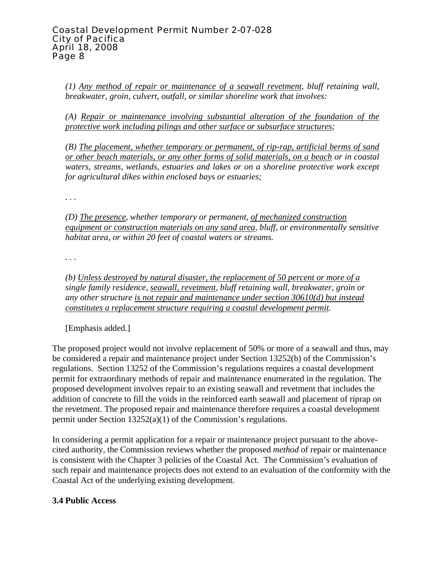*(1) Any method of repair or maintenance of a seawall revetment, bluff retaining wall, breakwater, groin, culvert, outfall, or similar shoreline work that involves:* 

*(A) Repair or maintenance involving substantial alteration of the foundation of the protective work including pilings and other surface or subsurface structures;* 

*(B) The placement, whether temporary or permanent, of rip-rap, artificial berms of sand or other beach materials, or any other forms of solid materials, on a beach or in coastal waters, streams, wetlands, estuaries and lakes or on a shoreline protective work except for agricultural dikes within enclosed bays or estuaries;* 

*. . .* 

*(D) The presence, whether temporary or permanent, of mechanized construction equipment or construction materials on any sand area, bluff, or environmentally sensitive habitat area, or within 20 feet of coastal waters or streams.* 

*. . .* 

*(b) Unless destroyed by natural disaster, the replacement of 50 percent or more of a single family residence, seawall, revetment, bluff retaining wall, breakwater, groin or any other structure is not repair and maintenance under section 30610(d) but instead constitutes a replacement structure requiring a coastal development permit.*

[Emphasis added.]

The proposed project would not involve replacement of 50% or more of a seawall and thus, may be considered a repair and maintenance project under Section 13252(b) of the Commission's regulations. Section 13252 of the Commission's regulations requires a coastal development permit for extraordinary methods of repair and maintenance enumerated in the regulation. The proposed development involves repair to an existing seawall and revetment that includes the addition of concrete to fill the voids in the reinforced earth seawall and placement of riprap on the revetment. The proposed repair and maintenance therefore requires a coastal development permit under Section 13252(a)(1) of the Commission's regulations.

In considering a permit application for a repair or maintenance project pursuant to the abovecited authority, the Commission reviews whether the proposed *method* of repair or maintenance is consistent with the Chapter 3 policies of the Coastal Act. The Commission's evaluation of such repair and maintenance projects does not extend to an evaluation of the conformity with the Coastal Act of the underlying existing development.

# **3.4 Public Access**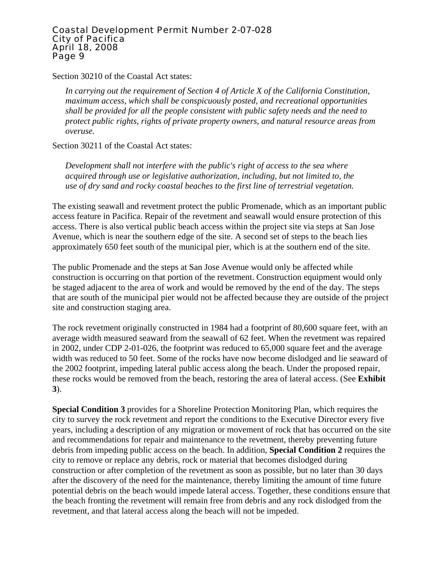Section 30210 of the Coastal Act states:

*In carrying out the requirement of Section 4 of Article X of the California Constitution, maximum access, which shall be conspicuously posted, and recreational opportunities shall be provided for all the people consistent with public safety needs and the need to protect public rights, rights of private property owners, and natural resource areas from overuse.* 

Section 30211 of the Coastal Act states:

*Development shall not interfere with the public's right of access to the sea where acquired through use or legislative authorization, including, but not limited to, the use of dry sand and rocky coastal beaches to the first line of terrestrial vegetation.* 

The existing seawall and revetment protect the public Promenade, which as an important public access feature in Pacifica. Repair of the revetment and seawall would ensure protection of this access. There is also vertical public beach access within the project site via steps at San Jose Avenue, which is near the southern edge of the site. A second set of steps to the beach lies approximately 650 feet south of the municipal pier, which is at the southern end of the site.

The public Promenade and the steps at San Jose Avenue would only be affected while construction is occurring on that portion of the revetment. Construction equipment would only be staged adjacent to the area of work and would be removed by the end of the day. The steps that are south of the municipal pier would not be affected because they are outside of the project site and construction staging area.

The rock revetment originally constructed in 1984 had a footprint of 80,600 square feet, with an average width measured seaward from the seawall of 62 feet. When the revetment was repaired in 2002, under CDP 2-01-026, the footprint was reduced to 65,000 square feet and the average width was reduced to 50 feet. Some of the rocks have now become dislodged and lie seaward of the 2002 footprint, impeding lateral public access along the beach. Under the proposed repair, these rocks would be removed from the beach, restoring the area of lateral access. (See **Exhibit 3**).

**Special Condition 3** provides for a Shoreline Protection Monitoring Plan, which requires the city to survey the rock revetment and report the conditions to the Executive Director every five years, including a description of any migration or movement of rock that has occurred on the site and recommendations for repair and maintenance to the revetment, thereby preventing future debris from impeding public access on the beach. In addition, **Special Condition 2** requires the city to remove or replace any debris, rock or material that becomes dislodged during construction or after completion of the revetment as soon as possible, but no later than 30 days after the discovery of the need for the maintenance, thereby limiting the amount of time future potential debris on the beach would impede lateral access. Together, these conditions ensure that the beach fronting the revetment will remain free from debris and any rock dislodged from the revetment, and that lateral access along the beach will not be impeded.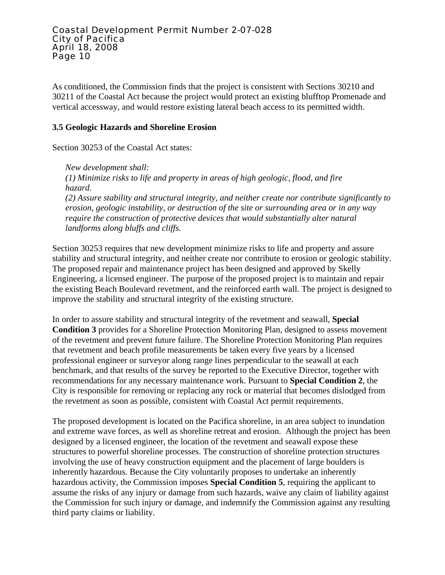As conditioned, the Commission finds that the project is consistent with Sections 30210 and 30211 of the Coastal Act because the project would protect an existing blufftop Promenade and vertical accessway, and would restore existing lateral beach access to its permitted width.

### **3.5 Geologic Hazards and Shoreline Erosion**

Section 30253 of the Coastal Act states:

*New development shall: (1) Minimize risks to life and property in areas of high geologic, flood, and fire hazard. (2) Assure stability and structural integrity, and neither create nor contribute significantly to erosion, geologic instability, or destruction of the site or surrounding area or in any way require the construction of protective devices that would substantially alter natural landforms along bluffs and cliffs.*

Section 30253 requires that new development minimize risks to life and property and assure stability and structural integrity, and neither create nor contribute to erosion or geologic stability. The proposed repair and maintenance project has been designed and approved by Skelly Engineering, a licensed engineer. The purpose of the proposed project is to maintain and repair the existing Beach Boulevard revetment, and the reinforced earth wall. The project is designed to improve the stability and structural integrity of the existing structure.

In order to assure stability and structural integrity of the revetment and seawall, **Special Condition 3** provides for a Shoreline Protection Monitoring Plan, designed to assess movement of the revetment and prevent future failure. The Shoreline Protection Monitoring Plan requires that revetment and beach profile measurements be taken every five years by a licensed professional engineer or surveyor along range lines perpendicular to the seawall at each benchmark, and that results of the survey be reported to the Executive Director, together with recommendations for any necessary maintenance work. Pursuant to **Special Condition 2**, the City is responsible for removing or replacing any rock or material that becomes dislodged from the revetment as soon as possible, consistent with Coastal Act permit requirements.

The proposed development is located on the Pacifica shoreline, in an area subject to inundation and extreme wave forces, as well as shoreline retreat and erosion. Although the project has been designed by a licensed engineer, the location of the revetment and seawall expose these structures to powerful shoreline processes. The construction of shoreline protection structures involving the use of heavy construction equipment and the placement of large boulders is inherently hazardous. Because the City voluntarily proposes to undertake an inherently hazardous activity, the Commission imposes **Special Condition 5**, requiring the applicant to assume the risks of any injury or damage from such hazards, waive any claim of liability against the Commission for such injury or damage, and indemnify the Commission against any resulting third party claims or liability.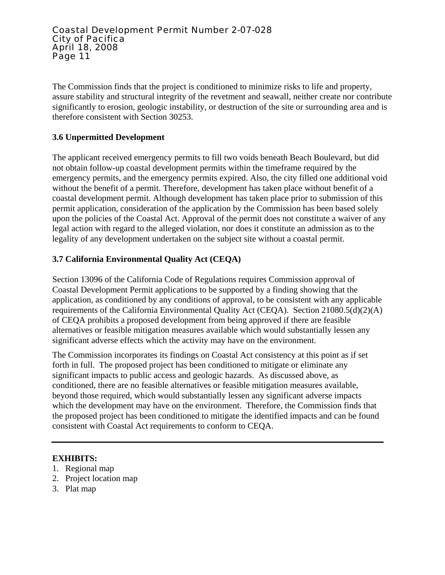The Commission finds that the project is conditioned to minimize risks to life and property, assure stability and structural integrity of the revetment and seawall, neither create nor contribute significantly to erosion, geologic instability, or destruction of the site or surrounding area and is therefore consistent with Section 30253.

## **3.6 Unpermitted Development**

The applicant received emergency permits to fill two voids beneath Beach Boulevard, but did not obtain follow-up coastal development permits within the timeframe required by the emergency permits, and the emergency permits expired. Also, the city filled one additional void without the benefit of a permit. Therefore, development has taken place without benefit of a coastal development permit. Although development has taken place prior to submission of this permit application, consideration of the application by the Commission has been based solely upon the policies of the Coastal Act. Approval of the permit does not constitute a waiver of any legal action with regard to the alleged violation, nor does it constitute an admission as to the legality of any development undertaken on the subject site without a coastal permit.

### **3.7 California Environmental Quality Act (CEQA)**

Section 13096 of the California Code of Regulations requires Commission approval of Coastal Development Permit applications to be supported by a finding showing that the application, as conditioned by any conditions of approval, to be consistent with any applicable requirements of the California Environmental Quality Act (CEQA). Section 21080.5(d)(2)(A) of CEQA prohibits a proposed development from being approved if there are feasible alternatives or feasible mitigation measures available which would substantially lessen any significant adverse effects which the activity may have on the environment.

The Commission incorporates its findings on Coastal Act consistency at this point as if set forth in full. The proposed project has been conditioned to mitigate or eliminate any significant impacts to public access and geologic hazards. As discussed above, as conditioned, there are no feasible alternatives or feasible mitigation measures available, beyond those required, which would substantially lessen any significant adverse impacts which the development may have on the environment. Therefore, the Commission finds that the proposed project has been conditioned to mitigate the identified impacts and can be found consistent with Coastal Act requirements to conform to CEQA.

### **EXHIBITS:**

- 1. Regional map
- 2. Project location map
- 3. Plat map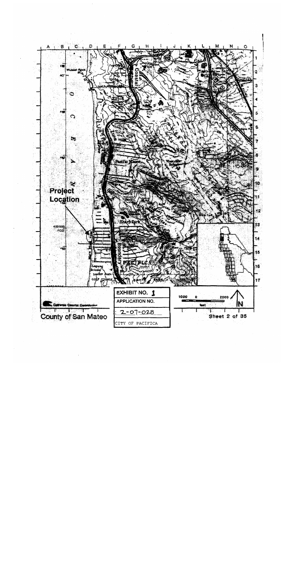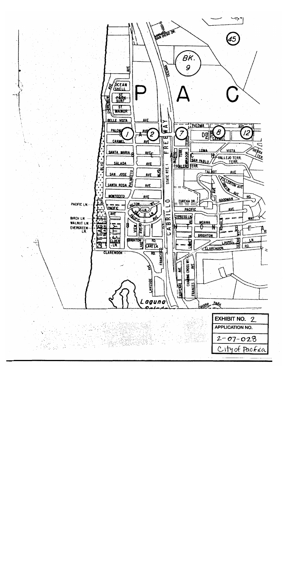